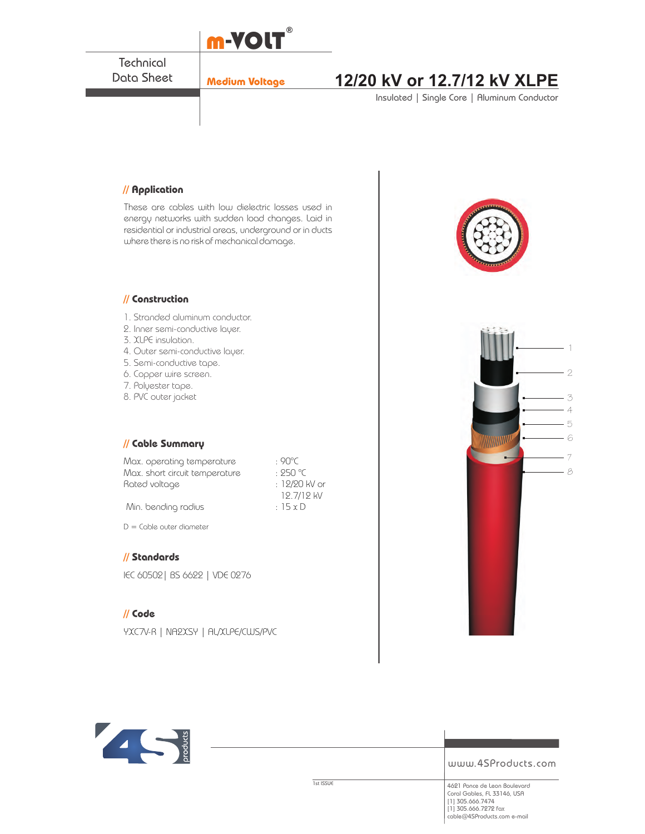

 $D =$  Cable outer diameter

## **// Standards**

IEC 60502| BS 6622 | VDE 0276

## **// Code**

YXC7V-R | NA2XSY | AL/XLPE/CWS/PVC



www.4SProducts.com

1st ISSUE